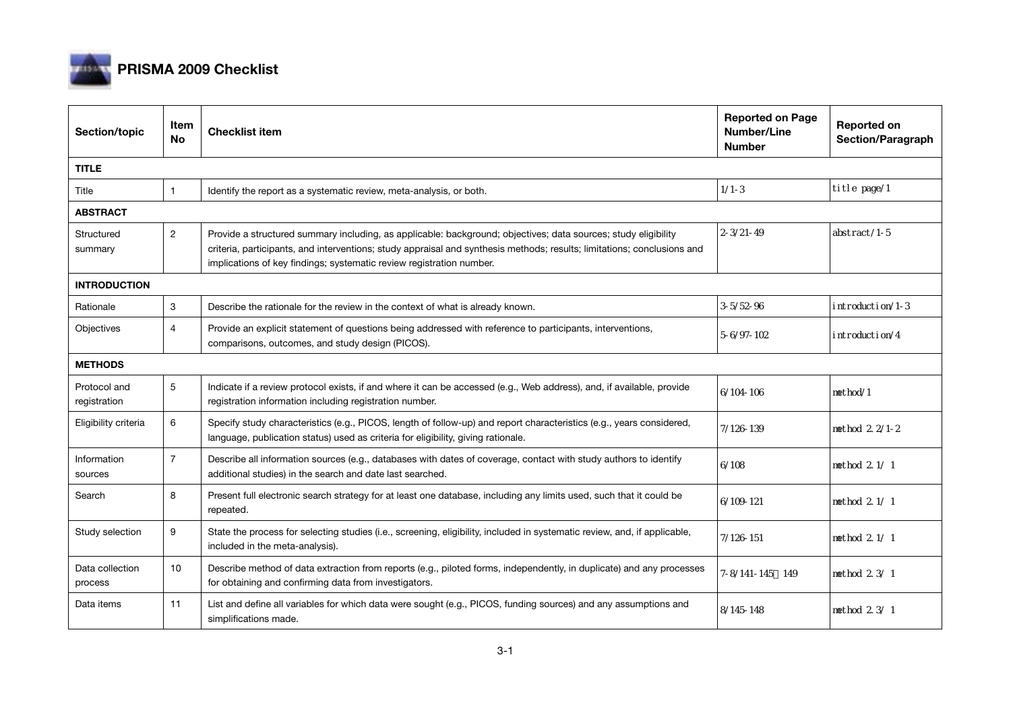

## **PRISMA 2009 Checklist**

| Section/topic                | Item<br><b>No</b> | <b>Checklist item</b>                                                                                                                                                                                                                                                                                             | <b>Reported on Page</b><br><b>Number/Line</b><br><b>Number</b> | Reported on<br>Section/Paragraph |  |  |  |
|------------------------------|-------------------|-------------------------------------------------------------------------------------------------------------------------------------------------------------------------------------------------------------------------------------------------------------------------------------------------------------------|----------------------------------------------------------------|----------------------------------|--|--|--|
| <b>TITLE</b>                 |                   |                                                                                                                                                                                                                                                                                                                   |                                                                |                                  |  |  |  |
| Title                        |                   | Identify the report as a systematic review, meta-analysis, or both.                                                                                                                                                                                                                                               | $1/1 - 3$                                                      | ti tle page/1                    |  |  |  |
| <b>ABSTRACT</b>              |                   |                                                                                                                                                                                                                                                                                                                   |                                                                |                                  |  |  |  |
| Structured<br>summary        | 2                 | Provide a structured summary including, as applicable: background; objectives; data sources; study eligibility<br>criteria, participants, and interventions; study appraisal and synthesis methods; results; limitations; conclusions and<br>implications of key findings; systematic review registration number. | $2 - 3/21 - 49$                                                | $abstract/1-5$                   |  |  |  |
| <b>INTRODUCTION</b>          |                   |                                                                                                                                                                                                                                                                                                                   |                                                                |                                  |  |  |  |
| Rationale                    | 3                 | Describe the rationale for the review in the context of what is already known.                                                                                                                                                                                                                                    | $3 - 5/52 - 96$                                                | introduction/1-3                 |  |  |  |
| Objectives                   | 4                 | Provide an explicit statement of questions being addressed with reference to participants, interventions,<br>comparisons, outcomes, and study design (PICOS).                                                                                                                                                     | $5-6/97-102$                                                   | introduction/4                   |  |  |  |
| <b>METHODS</b>               |                   |                                                                                                                                                                                                                                                                                                                   |                                                                |                                  |  |  |  |
| Protocol and<br>registration | 5                 | Indicate if a review protocol exists, if and where it can be accessed (e.g., Web address), and, if available, provide<br>registration information including registration number.                                                                                                                                  | $6/104 - 106$                                                  | nethod/1                         |  |  |  |
| Eligibility criteria         | 6                 | Specify study characteristics (e.g., PICOS, length of follow-up) and report characteristics (e.g., years considered,<br>language, publication status) used as criteria for eligibility, giving rationale.                                                                                                         | 7/126-139                                                      | method 2 2/1-2                   |  |  |  |
| Information<br>sources       | $\overline{7}$    | Describe all information sources (e.g., databases with dates of coverage, contact with study authors to identify<br>additional studies) in the search and date last searched.                                                                                                                                     | 6/108                                                          | method 2 1/ 1                    |  |  |  |
| Search                       | 8                 | Present full electronic search strategy for at least one database, including any limits used, such that it could be<br>repeated.                                                                                                                                                                                  | $6/109 - 121$                                                  | method 2.1/1                     |  |  |  |
| Study selection              | 9                 | State the process for selecting studies (i.e., screening, eligibility, included in systematic review, and, if applicable,<br>included in the meta-analysis).                                                                                                                                                      | 7/126-151                                                      | method 2 1/ 1                    |  |  |  |
| Data collection<br>process   | 10                | Describe method of data extraction from reports (e.g., piloted forms, independently, in duplicate) and any processes<br>for obtaining and confirming data from investigators.                                                                                                                                     | 7-8/141-145 149                                                | method 2 3/ 1                    |  |  |  |
| Data items                   | 11                | List and define all variables for which data were sought (e.g., PICOS, funding sources) and any assumptions and<br>simplifications made.                                                                                                                                                                          | 8/145-148                                                      | method 2 3/ 1                    |  |  |  |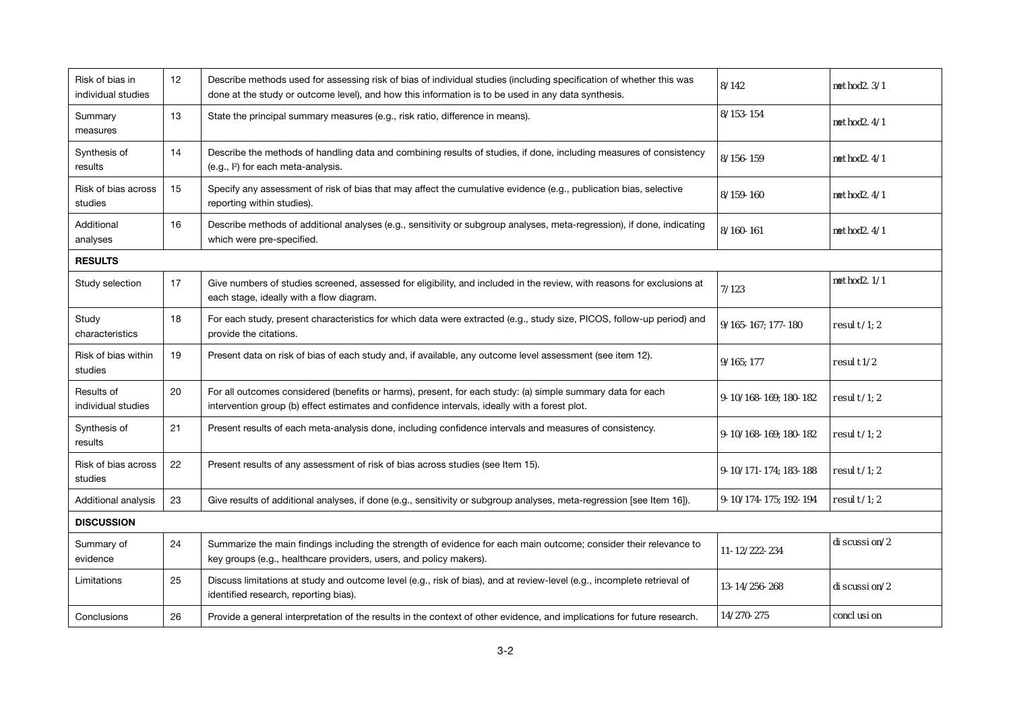| Risk of bias in<br>individual studies | 12 | Describe methods used for assessing risk of bias of individual studies (including specification of whether this was<br>done at the study or outcome level), and how this information is to be used in any data synthesis. | 8/142                 | method <sub>2</sub> 3/1 |  |  |  |
|---------------------------------------|----|---------------------------------------------------------------------------------------------------------------------------------------------------------------------------------------------------------------------------|-----------------------|-------------------------|--|--|--|
| Summary<br>measures                   | 13 | State the principal summary measures (e.g., risk ratio, difference in means).                                                                                                                                             | 8/153-154             | method <sub>2</sub> 4/1 |  |  |  |
| Synthesis of<br>results               | 14 | Describe the methods of handling data and combining results of studies, if done, including measures of consistency<br>(e.g., l <sup>2</sup> ) for each meta-analysis.                                                     | 8/156-159             | method <sub>2</sub> 4/1 |  |  |  |
| Risk of bias across<br>studies        | 15 | Specify any assessment of risk of bias that may affect the cumulative evidence (e.g., publication bias, selective<br>reporting within studies).                                                                           | 8/159-160             | method <sub>2</sub> 4/1 |  |  |  |
| Additional<br>analyses                | 16 | Describe methods of additional analyses (e.g., sensitivity or subgroup analyses, meta-regression), if done, indicating<br>which were pre-specified.                                                                       | 8/160-161             | method <sub>2</sub> 4/1 |  |  |  |
| <b>RESULTS</b>                        |    |                                                                                                                                                                                                                           |                       |                         |  |  |  |
| Study selection                       | 17 | Give numbers of studies screened, assessed for eligibility, and included in the review, with reasons for exclusions at<br>each stage, ideally with a flow diagram.                                                        | 7/123                 | method <sub>2</sub> 1/1 |  |  |  |
| Study<br>characteristics              | 18 | For each study, present characteristics for which data were extracted (e.g., study size, PICOS, follow-up period) and<br>provide the citations.                                                                           | 9/165-167: 177-180    | resul $t/1$ ; 2         |  |  |  |
| Risk of bias within<br>studies        | 19 | Present data on risk of bias of each study and, if available, any outcome level assessment (see item 12).                                                                                                                 | 9/165:177             | resul t <sub>1/2</sub>  |  |  |  |
| Results of<br>individual studies      | 20 | For all outcomes considered (benefits or harms), present, for each study: (a) simple summary data for each<br>intervention group (b) effect estimates and confidence intervals, ideally with a forest plot.               | 9-10/168-169, 180-182 | resul $t/1$ ; 2         |  |  |  |
| Synthesis of<br>results               | 21 | Present results of each meta-analysis done, including confidence intervals and measures of consistency.                                                                                                                   | 9-10/168-169, 180-182 | resul $t/1$ ; 2         |  |  |  |
| Risk of bias across<br>studies        | 22 | Present results of any assessment of risk of bias across studies (see Item 15).                                                                                                                                           | 9-10/171-174; 183-188 | resul $t/1$ : 2         |  |  |  |
| Additional analysis                   | 23 | Give results of additional analyses, if done (e.g., sensitivity or subgroup analyses, meta-regression [see Item 16]).                                                                                                     | 9-10/174-175; 192-194 | resul $t/1$ ; 2         |  |  |  |
| <b>DISCUSSION</b>                     |    |                                                                                                                                                                                                                           |                       |                         |  |  |  |
| Summary of<br>evidence                | 24 | Summarize the main findings including the strength of evidence for each main outcome; consider their relevance to<br>key groups (e.g., healthcare providers, users, and policy makers).                                   | 11-12/222-234         | di scussi on/2          |  |  |  |
| Limitations                           | 25 | Discuss limitations at study and outcome level (e.g., risk of bias), and at review-level (e.g., incomplete retrieval of<br>identified research, reporting bias).                                                          | 13-14/256-268         | di scussi on/2          |  |  |  |
| Conclusions                           | 26 | Provide a general interpretation of the results in the context of other evidence, and implications for future research.                                                                                                   | 14/270-275            | concl usi on            |  |  |  |